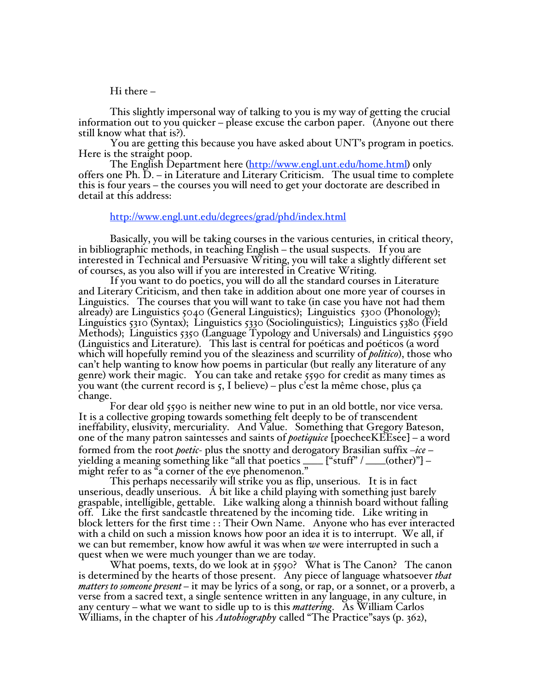## $Hi$  there  $-$

This slightly impersonal way of talking to you is my way of getting the crucial<br>information out to you quicker – please excuse the carbon paper. (Anyone out there<br>still know what that is?).<br>You are getting this because you

## http://www.engl.unt.edu/degrees/grad/phd/index.html

Basically, you will be taking courses in the various centuries, in critical theory, in bibliographic methods, in teaching English – the usual suspects. If you are interested in Technical and Persuasive Writing, you will take a slightly different set of courses, as you also will if you are interested in Creative Writing.

If you want to do poetics, you will do all the standard courses in Literature and Literary Criticism, and then take in addition about one more year of courses in Linguistics. The courses that you will want to take (in case you have not had them already) are Linguistics  $5040$  (General Linguistics); Linguistics  $5300$  (Phonology); Linguistics  $\frac{1}{310}$  (Syntax); Linguistics  $\frac{1}{330}$  (Sociolinguistics); Linguistics  $\frac{1}{380}$  (Field Methods); Linguistics  $5350$  (Language Typology and Universals) and Linguistics  $5590$ (Linguistics and Literature). This last is central for poéticas and poéticos (a word which will hopefully remind you of the sleaziness and scurrility of *politico*), those who can't help wanting to know how poems in particular (but really any literature of any genre) work their magic. You can take and retake 5590 for credit as many times as you want (the current record is 5, I believe) – plus c'est la même chose, plus ça change.

For dear old 5590 is neither new wine to put in an old bottle, nor vice versa. It is a collective groping towards something felt deeply to be of transcendent ineffability, elusivity, mercuriality. And Value. Something that Gregory Bateson, one of the many patron saintesses and saints of *poetiquice* [poecheeKEEsee] – a word formed from the root *poetic*- plus the snotty and derogatory Brasilian suffix -*ice* yielding a meaning something like "all that poetics \_\_\_\_ ["stuff" / \_\_\_\_(other)"] – might refer to as "a corner of the eye phenomenon."  $\,$ 

This perhaps necessarily will strike you as flip, unserious. It is in fact unserious, deadly unserious. A bit like a child playing with something just barely graspable, intelligible, gettable. Like walking along a thinnish board without falling off. Like the first sandcastle threatened by the incoming tide. Like writing in block letters for the first time : : Their Own Name. Anyone who has ever interacted with a child on such a mission knows how poor an idea it is to interrupt. We all, if we can but remember, know how awful it was when *we* were interrupted in such a quest when we were much younger than we are today.

What poems, texts, do we look at in 5590? What is The Canon? The canon is determined by the hearts of those present. Any piece of language whatsoever *that matters to someone present* – it may be lyrics of a song, or rap, or a sonnet, or a proverb, a verse from a sacred text, a single sentence written in any language, in any culture, in any century – what we want to sidle up to is this *mattering*. As William Carlos Williams, in the chapter of his *Autobiography* called "The Practice" says (p. 362),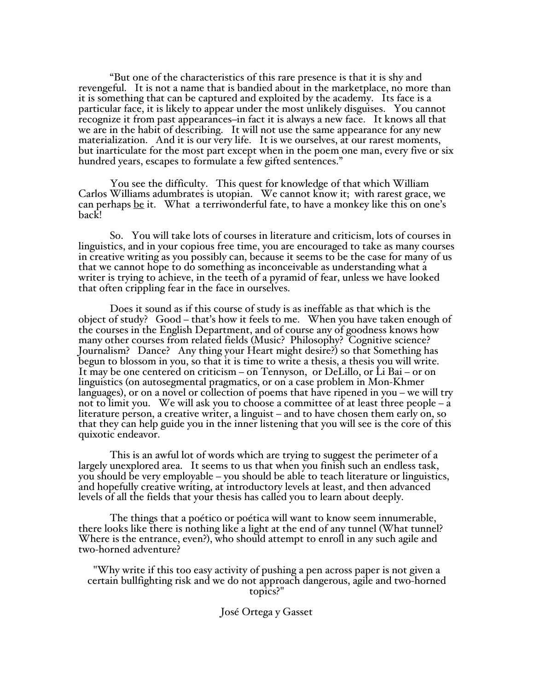\*But one of the characteristics of this rare presence is that it is shy and revengeful. It is not a name that is bandied about in the marketplace, no more than it is something that can be captured and exploited by the academy. Its face is a particular face, it is likely to appear under the most unlikely disguises. You cannot recognize it from past appearances—in fact it is always a new face. It knows all that we are in the habit of describing. It will not use the same appearance for any new materialization. And it is our very life. It is we ourselves, at our rarest moments, but inarticulate for the most part except when in the poem one man, every five or six hundred years, escapes to formulate a few gifted sentences."

You see the difficulty. This quest for knowledge of that which William Carlos Williams adumbrates is utopian. We cannot know it; with rarest grace, we can perhaps <u>be</u> it. What a terriwonderful fate, to have a monkey like this on one's back!

So. You will take lots of courses in literature and criticism, lots of courses in linguistics, and in your copious free time, you are encouraged to take as many courses in creative writing as you possibly can, because it seems to be the case for many of us that we cannot hope to do something as inconceivable as understanding what a writer is trying to achieve, in the teeth of a pyramid of fear, unless we have looked that often crippling fear in the face in ourselves.

Does it sound as if this course of study is as ineffable as that which is the object of study? Good – that's how it feels to me. When you have taken enough of the courses in the English Department, and of course any of goodness knows how many other courses from related fields (Music? Philosophy? Cognitive science? Journalism? Dance? Any thing your Heart might desire?) so that Something has begun to blossom in you, so that it is time to write a thesis, a thesis you will write. It may be one centered on criticism  $-$  on Tennyson, or DeLillo, or Li Bai  $-$  or on linguistics (on autosegmental pragmatics, or on a case problem in Mon-Khmer languages), or on a novel or collection of poems that have ripened in you – we will try not to limit you. We will ask you to choose a committee of at least three people  $-\dot{a}$ literature person, a creative writer, a linguist - and to have chosen them early on, so that they can help guide you in the inner listening that you will see is the core of this quixotic endeavor.

This is an awful lot of words which are trying to suggest the perimeter of a largely unexplored area. It seems to us that when you finish such an endless task, you should be very employable ! you should be able to teach literature or linguistics, and hopefully creative writing, at introductory levels at least, and then advanced levels of all the fields that your thesis has called you to learn about deeply.

The things that a poético or poética will want to know seem innumerable, there looks like there is nothing like a light at the end of any tunnel (What tunnel? Where is the entrance, even?), who should attempt to enroll in any such agile and two-horned adventure?

,Why write if this too easy activity of pushing a pen across paper is not given a certain bullfighting risk and we do not approach dangerous, agile and two-horned topics?"

## José Ortega y Gasset